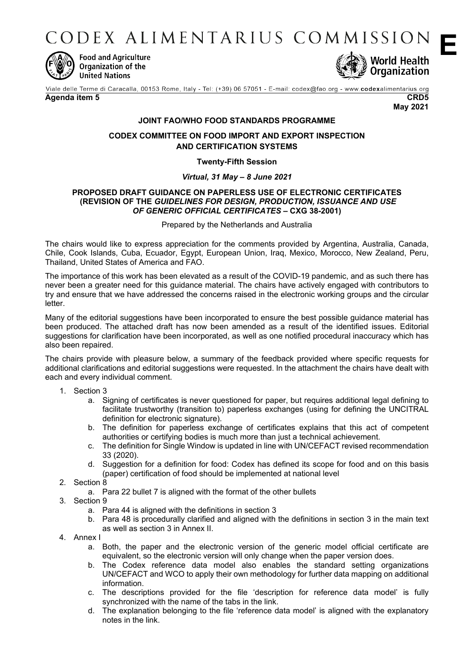CODEX ALIMENTARIUS COMMISSION



**Food and Agriculture** Organization of the **United Nations** 



Viale delle Terme di Caracalla, 00153 Rome, Italy - Tel: (+39) 06 57051 - E-mail: codex@fao.org - www.codexalimentarius.org

#### **Agenda item 5 CRD5**

**May 2021**

# **JOINT FAO/WHO FOOD STANDARDS PROGRAMME**

## **CODEX COMMITTEE ON FOOD IMPORT AND EXPORT INSPECTION AND CERTIFICATION SYSTEMS**

### **Twenty-Fifth Session**

### *Virtual, 31 May – 8 June 2021*

#### **PROPOSED DRAFT GUIDANCE ON PAPERLESS USE OF ELECTRONIC CERTIFICATES (REVISION OF THE** *GUIDELINES FOR DESIGN, PRODUCTION, ISSUANCE AND USE OF GENERIC OFFICIAL CERTIFICATES* **– CXG 38-2001)**

Prepared by the Netherlands and Australia

The chairs would like to express appreciation for the comments provided by Argentina, Australia, Canada, Chile, Cook Islands, Cuba, Ecuador, Egypt, European Union, Iraq, Mexico, Morocco, New Zealand, Peru, Thailand, United States of America and FAO.

The importance of this work has been elevated as a result of the COVID-19 pandemic, and as such there has never been a greater need for this guidance material. The chairs have actively engaged with contributors to try and ensure that we have addressed the concerns raised in the electronic working groups and the circular letter.

Many of the editorial suggestions have been incorporated to ensure the best possible guidance material has been produced. The attached draft has now been amended as a result of the identified issues. Editorial suggestions for clarification have been incorporated, as well as one notified procedural inaccuracy which has also been repaired.

The chairs provide with pleasure below, a summary of the feedback provided where specific requests for additional clarifications and editorial suggestions were requested. In the attachment the chairs have dealt with each and every individual comment.

- 1. Section 3
	- a. Signing of certificates is never questioned for paper, but requires additional legal defining to facilitate trustworthy (transition to) paperless exchanges (using for defining the UNCITRAL definition for electronic signature).
	- b. The definition for paperless exchange of certificates explains that this act of competent authorities or certifying bodies is much more than just a technical achievement.
	- c. The definition for Single Window is updated in line with UN/CEFACT revised recommendation 33 (2020).
	- d. Suggestion for a definition for food: Codex has defined its scope for food and on this basis (paper) certification of food should be implemented at national level
- 2. Section 8
	- a. Para 22 bullet 7 is aligned with the format of the other bullets
- 3. Section 9
	- a. Para 44 is aligned with the definitions in section 3
	- b. Para 48 is procedurally clarified and aligned with the definitions in section 3 in the main text as well as section 3 in Annex II.
- 4. Annex I
	- a. Both, the paper and the electronic version of the generic model official certificate are equivalent, so the electronic version will only change when the paper version does.
	- b. The Codex reference data model also enables the standard setting organizations UN/CEFACT and WCO to apply their own methodology for further data mapping on additional information.
	- c. The descriptions provided for the file 'description for reference data model' is fully synchronized with the name of the tabs in the link.
	- d. The explanation belonging to the file 'reference data model' is aligned with the explanatory notes in the link.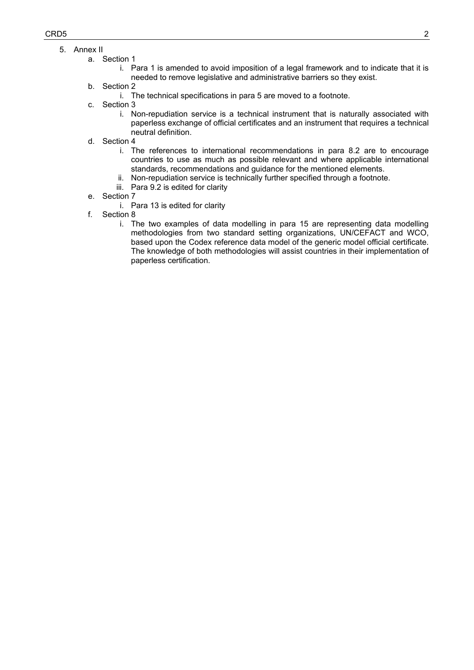- 5. Annex II
	- a. Section 1
		- i. Para 1 is amended to avoid imposition of a legal framework and to indicate that it is needed to remove legislative and administrative barriers so they exist.
		- b. Section 2
			- i. The technical specifications in para 5 are moved to a footnote.
		- c. Section 3
			- i. Non-repudiation service is a technical instrument that is naturally associated with paperless exchange of official certificates and an instrument that requires a technical neutral definition.
		- d. Section 4
			- i. The references to international recommendations in para 8.2 are to encourage countries to use as much as possible relevant and where applicable international standards, recommendations and guidance for the mentioned elements.
			- ii. Non-repudiation service is technically further specified through a footnote.
			- iii. Para 9.2 is edited for clarity
		- e. Section 7
			- i. Para 13 is edited for clarity
		- f. Section 8
			- i. The two examples of data modelling in para 15 are representing data modelling methodologies from two standard setting organizations, UN/CEFACT and WCO, based upon the Codex reference data model of the generic model official certificate. The knowledge of both methodologies will assist countries in their implementation of paperless certification.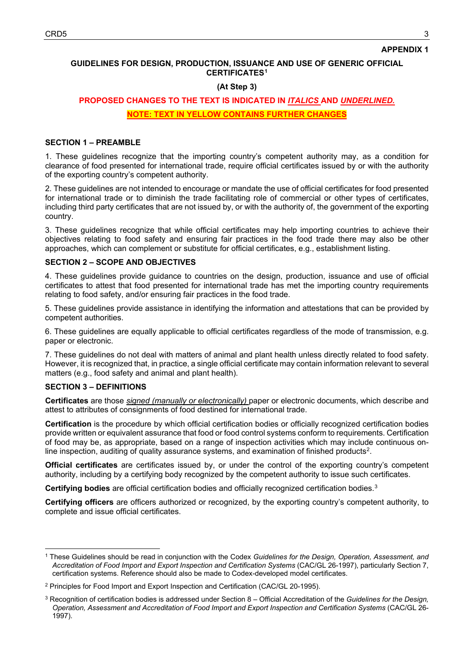### **GUIDELINES FOR DESIGN, PRODUCTION, ISSUANCE AND USE OF GENERIC OFFICIAL CERTIFICATES[1](#page-2-0)**

### **(At Step 3)**

# **PROPOSED CHANGES TO THE TEXT IS INDICATED IN** *ITALICS* **AND** *UNDERLINED.*

### **NOTE: TEXT IN YELLOW CONTAINS FURTHER CHANGES**

### **SECTION 1 – PREAMBLE**

1. These guidelines recognize that the importing country's competent authority may, as a condition for clearance of food presented for international trade, require official certificates issued by or with the authority of the exporting country's competent authority.

2. These guidelines are not intended to encourage or mandate the use of official certificates for food presented for international trade or to diminish the trade facilitating role of commercial or other types of certificates, including third party certificates that are not issued by, or with the authority of, the government of the exporting country.

3. These guidelines recognize that while official certificates may help importing countries to achieve their objectives relating to food safety and ensuring fair practices in the food trade there may also be other approaches, which can complement or substitute for official certificates, e.g., establishment listing.

#### **SECTION 2 – SCOPE AND OBJECTIVES**

4. These guidelines provide guidance to countries on the design, production, issuance and use of official certificates to attest that food presented for international trade has met the importing country requirements relating to food safety, and/or ensuring fair practices in the food trade.

5. These guidelines provide assistance in identifying the information and attestations that can be provided by competent authorities.

6. These guidelines are equally applicable to official certificates regardless of the mode of transmission, e.g. paper or electronic.

7. These guidelines do not deal with matters of animal and plant health unless directly related to food safety. However, it is recognized that, in practice, a single official certificate may contain information relevant to several matters (e.g., food safety and animal and plant health).

#### **SECTION 3 – DEFINITIONS**

**Certificates** are those *signed (manually or electronically)* paper or electronic documents, which describe and attest to attributes of consignments of food destined for international trade.

**Certification** is the procedure by which official certification bodies or officially recognized certification bodies provide written or equivalent assurance that food or food control systems conform to requirements. Certification of food may be, as appropriate, based on a range of inspection activities which may include continuous on-line inspection, auditing of quality assurance systems, and examination of finished products<sup>[2](#page-2-1)</sup>.

**Official certificates** are certificates issued by, or under the control of the exporting country's competent authority, including by a certifying body recognized by the competent authority to issue such certificates.

**Certifying bodies** are official certification bodies and officially recognized certification bodies.[3](#page-2-2)

**Certifying officers** are officers authorized or recognized, by the exporting country's competent authority, to complete and issue official certificates.

<span id="page-2-0"></span><sup>1</sup> These Guidelines should be read in conjunction with the Codex *Guidelines for the Design, Operation, Assessment, and Accreditation of Food Import and Export Inspection and Certification Systems* (CAC/GL 26-1997), particularly Section 7, certification systems. Reference should also be made to Codex-developed model certificates.

<span id="page-2-1"></span><sup>2</sup> Principles for Food Import and Export Inspection and Certification (CAC/GL 20-1995).

<span id="page-2-2"></span><sup>3</sup> Recognition of certification bodies is addressed under Section 8 – Official Accreditation of the *Guidelines for the Design, Operation, Assessment and Accreditation of Food Import and Export Inspection and Certification Systems* (CAC/GL 26- 1997).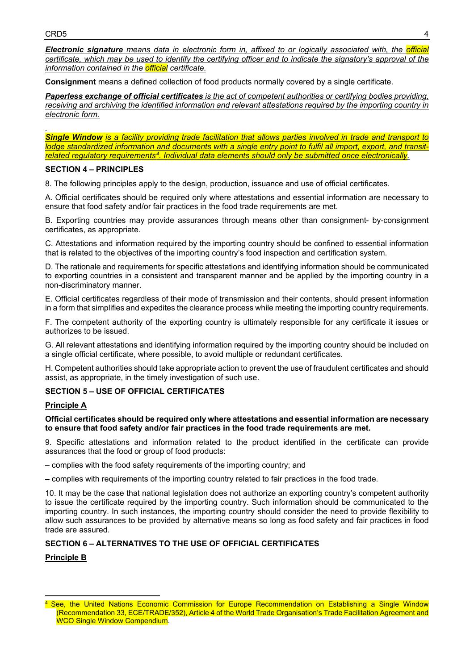*Electronic signature means data in electronic form in, affixed to or logically associated with, the official certificate, which may be used to identify the certifying officer and to indicate the signatory's approval of the information contained in the official certificate.*

**Consignment** means a defined collection of food products normally covered by a single certificate.

*Paperless exchange of official certificates is the act of competent authorities or certifying bodies providing, receiving and archiving the identified information and relevant attestations required by the importing country in electronic form.*

*. Single Window is a facility providing trade facilitation that allows parties involved in trade and transport to lodge standardized information and documents with a single entry point to fulfil all import, export, and transitrelated regulatory requirements[4.](#page-3-0) Individual data elements should only be submitted once electronically.*

### **SECTION 4 – PRINCIPLES**

8. The following principles apply to the design, production, issuance and use of official certificates.

A. Official certificates should be required only where attestations and essential information are necessary to ensure that food safety and/or fair practices in the food trade requirements are met.

B. Exporting countries may provide assurances through means other than consignment- by-consignment certificates, as appropriate.

C. Attestations and information required by the importing country should be confined to essential information that is related to the objectives of the importing country's food inspection and certification system.

D. The rationale and requirements for specific attestations and identifying information should be communicated to exporting countries in a consistent and transparent manner and be applied by the importing country in a non-discriminatory manner.

E. Official certificates regardless of their mode of transmission and their contents, should present information in a form that simplifies and expedites the clearance process while meeting the importing country requirements.

F. The competent authority of the exporting country is ultimately responsible for any certificate it issues or authorizes to be issued.

G. All relevant attestations and identifying information required by the importing country should be included on a single official certificate, where possible, to avoid multiple or redundant certificates.

H. Competent authorities should take appropriate action to prevent the use of fraudulent certificates and should assist, as appropriate, in the timely investigation of such use.

# **SECTION 5 – USE OF OFFICIAL CERTIFICATES**

# **Principle A**

#### **Official certificates should be required only where attestations and essential information are necessary to ensure that food safety and/or fair practices in the food trade requirements are met.**

9. Specific attestations and information related to the product identified in the certificate can provide assurances that the food or group of food products:

– complies with the food safety requirements of the importing country; and

– complies with requirements of the importing country related to fair practices in the food trade.

10. It may be the case that national legislation does not authorize an exporting country's competent authority to issue the certificate required by the importing country. Such information should be communicated to the importing country. In such instances, the importing country should consider the need to provide flexibility to allow such assurances to be provided by alternative means so long as food safety and fair practices in food trade are assured.

### **SECTION 6 – ALTERNATIVES TO THE USE OF OFFICIAL CERTIFICATES**

**Principle B**

<span id="page-3-0"></span><sup>&</sup>lt;sup>4</sup> See, the United Nations Economic Commission for Europe Recommendation on Establishing a Single Window (Recommendation 33, ECE/TRADE/352), Article 4 of the World Trade Organisation's Trade Facilitation Agreement and WCO Single Window Compendium.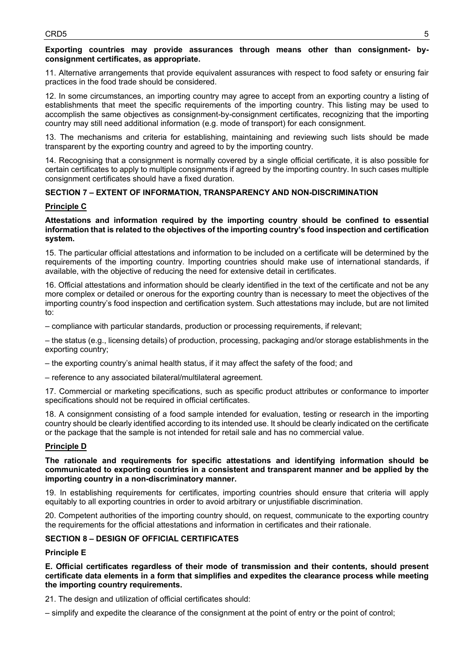### **Exporting countries may provide assurances through means other than consignment- byconsignment certificates, as appropriate.**

11. Alternative arrangements that provide equivalent assurances with respect to food safety or ensuring fair practices in the food trade should be considered.

12. In some circumstances, an importing country may agree to accept from an exporting country a listing of establishments that meet the specific requirements of the importing country. This listing may be used to accomplish the same objectives as consignment-by-consignment certificates, recognizing that the importing country may still need additional information (e.g. mode of transport) for each consignment.

13. The mechanisms and criteria for establishing, maintaining and reviewing such lists should be made transparent by the exporting country and agreed to by the importing country.

14. Recognising that a consignment is normally covered by a single official certificate, it is also possible for certain certificates to apply to multiple consignments if agreed by the importing country. In such cases multiple consignment certificates should have a fixed duration.

# **SECTION 7 – EXTENT OF INFORMATION, TRANSPARENCY AND NON-DISCRIMINATION**

### **Principle C**

### **Attestations and information required by the importing country should be confined to essential information that is related to the objectives of the importing country's food inspection and certification system.**

15. The particular official attestations and information to be included on a certificate will be determined by the requirements of the importing country. Importing countries should make use of international standards, if available, with the objective of reducing the need for extensive detail in certificates.

16. Official attestations and information should be clearly identified in the text of the certificate and not be any more complex or detailed or onerous for the exporting country than is necessary to meet the objectives of the importing country's food inspection and certification system. Such attestations may include, but are not limited to:

– compliance with particular standards, production or processing requirements, if relevant;

– the status (e.g., licensing details) of production, processing, packaging and/or storage establishments in the exporting country;

– the exporting country's animal health status, if it may affect the safety of the food; and

– reference to any associated bilateral/multilateral agreement.

17. Commercial or marketing specifications, such as specific product attributes or conformance to importer specifications should not be required in official certificates.

18. A consignment consisting of a food sample intended for evaluation, testing or research in the importing country should be clearly identified according to its intended use. It should be clearly indicated on the certificate or the package that the sample is not intended for retail sale and has no commercial value.

### **Principle D**

#### **The rationale and requirements for specific attestations and identifying information should be communicated to exporting countries in a consistent and transparent manner and be applied by the importing country in a non-discriminatory manner.**

19. In establishing requirements for certificates, importing countries should ensure that criteria will apply equitably to all exporting countries in order to avoid arbitrary or unjustifiable discrimination.

20. Competent authorities of the importing country should, on request, communicate to the exporting country the requirements for the official attestations and information in certificates and their rationale.

### **SECTION 8 – DESIGN OF OFFICIAL CERTIFICATES**

### **Principle E**

**E. Official certificates regardless of their mode of transmission and their contents, should present certificate data elements in a form that simplifies and expedites the clearance process while meeting the importing country requirements.** 

21. The design and utilization of official certificates should:

– simplify and expedite the clearance of the consignment at the point of entry or the point of control;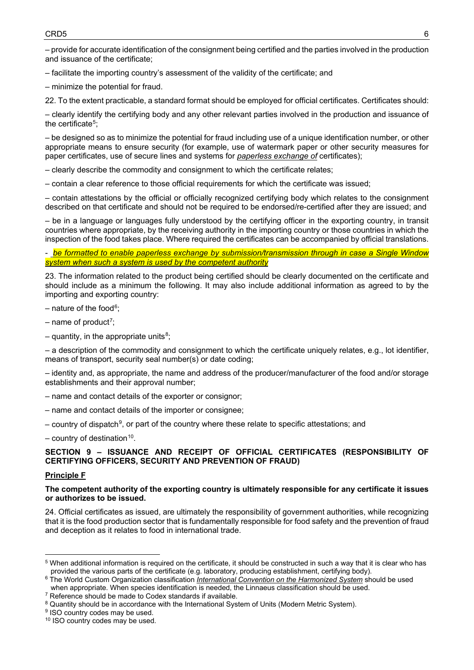– provide for accurate identification of the consignment being certified and the parties involved in the production and issuance of the certificate;

– facilitate the importing country's assessment of the validity of the certificate; and

– minimize the potential for fraud.

22. To the extent practicable, a standard format should be employed for official certificates. Certificates should:

– clearly identify the certifying body and any other relevant parties involved in the production and issuance of the certificate<sup>[5](#page-5-0)</sup>;

– be designed so as to minimize the potential for fraud including use of a unique identification number, or other appropriate means to ensure security (for example, use of watermark paper or other security measures for paper certificates, use of secure lines and systems for *paperless exchange of* certificates);

– clearly describe the commodity and consignment to which the certificate relates;

– contain a clear reference to those official requirements for which the certificate was issued;

– contain attestations by the official or officially recognized certifying body which relates to the consignment described on that certificate and should not be required to be endorsed/re-certified after they are issued; and

– be in a language or languages fully understood by the certifying officer in the exporting country, in transit countries where appropriate, by the receiving authority in the importing country or those countries in which the inspection of the food takes place. Where required the certificates can be accompanied by official translations.

- *be formatted to enable paperless exchange by submission/transmission through in case a Single Window system when such a system is used by the competent authority*

23. The information related to the product being certified should be clearly documented on the certificate and should include as a minimum the following. It may also include additional information as agreed to by the importing and exporting country:

– nature of the food<sup>6</sup>;

- name of product<sup>[7](#page-5-2)</sup>;
- quantity, in the appropriate units<sup>[8](#page-5-3)</sup>;

– a description of the commodity and consignment to which the certificate uniquely relates, e.g., lot identifier, means of transport, security seal number(s) or date coding;

– identity and, as appropriate, the name and address of the producer/manufacturer of the food and/or storage establishments and their approval number;

- name and contact details of the exporter or consignor;
- name and contact details of the importer or consignee;
- country of dispatch<sup>[9](#page-5-4)</sup>, or part of the country where these relate to specific attestations; and
- $-$  country of destination<sup>10</sup>.

# **SECTION 9 – ISSUANCE AND RECEIPT OF OFFICIAL CERTIFICATES (RESPONSIBILITY OF CERTIFYING OFFICERS, SECURITY AND PREVENTION OF FRAUD)**

### **Principle F**

### **The competent authority of the exporting country is ultimately responsible for any certificate it issues or authorizes to be issued.**

24. Official certificates as issued, are ultimately the responsibility of government authorities, while recognizing that it is the food production sector that is fundamentally responsible for food safety and the prevention of fraud and deception as it relates to food in international trade.

<span id="page-5-0"></span><sup>5</sup> When additional information is required on the certificate, it should be constructed in such a way that it is clear who has provided the various parts of the certificate (e.g. laboratory, producing establishment, certifying body).

<span id="page-5-1"></span><sup>6</sup> The World Custom Organization classification *International Convention on the Harmonized System* should be used when appropriate. When species identification is needed, the Linnaeus classification should be used.

<span id="page-5-2"></span><sup>7</sup> Reference should be made to Codex standards if available.

<span id="page-5-3"></span><sup>&</sup>lt;sup>8</sup> Quantity should be in accordance with the International System of Units (Modern Metric System).

<span id="page-5-4"></span><sup>&</sup>lt;sup>9</sup> ISO country codes may be used.

<span id="page-5-5"></span><sup>&</sup>lt;sup>10</sup> ISO country codes may be used.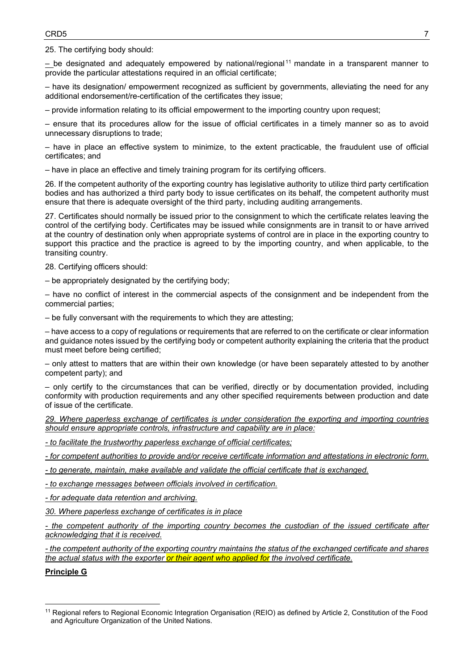25. The certifying body should:

*–* be designated and adequately empowered by national/regional [11](#page-6-0) mandate in a transparent manner to provide the particular attestations required in an official certificate;

– have its designation/ empowerment recognized as sufficient by governments, alleviating the need for any additional endorsement/re-certification of the certificates they issue;

– provide information relating to its official empowerment to the importing country upon request;

– ensure that its procedures allow for the issue of official certificates in a timely manner so as to avoid unnecessary disruptions to trade;

– have in place an effective system to minimize, to the extent practicable, the fraudulent use of official certificates; and

– have in place an effective and timely training program for its certifying officers.

26. If the competent authority of the exporting country has legislative authority to utilize third party certification bodies and has authorized a third party body to issue certificates on its behalf, the competent authority must ensure that there is adequate oversight of the third party, including auditing arrangements.

27. Certificates should normally be issued prior to the consignment to which the certificate relates leaving the control of the certifying body. Certificates may be issued while consignments are in transit to or have arrived at the country of destination only when appropriate systems of control are in place in the exporting country to support this practice and the practice is agreed to by the importing country, and when applicable, to the transiting country.

28. Certifying officers should:

– be appropriately designated by the certifying body;

– have no conflict of interest in the commercial aspects of the consignment and be independent from the commercial parties;

– be fully conversant with the requirements to which they are attesting;

– have access to a copy of regulations or requirements that are referred to on the certificate or clear information and guidance notes issued by the certifying body or competent authority explaining the criteria that the product must meet before being certified;

– only attest to matters that are within their own knowledge (or have been separately attested to by another competent party); and

– only certify to the circumstances that can be verified, directly or by documentation provided, including conformity with production requirements and any other specified requirements between production and date of issue of the certificate.

*29. Where paperless exchange of certificates is under consideration the exporting and importing countries should ensure appropriate controls, infrastructure and capability are in place:*

*- to facilitate the trustworthy paperless exchange of official certificates;*

*- for competent authorities to provide and/or receive certificate information and attestations in electronic form.*

*- to generate, maintain, make available and validate the official certificate that is exchanged.*

*- to exchange messages between officials involved in certification.*

*- for adequate data retention and archiving.*

*30. Where paperless exchange of certificates is in place* 

*- the competent authority of the importing country becomes the custodian of the issued certificate after acknowledging that it is received.*

*- the competent authority of the exporting country maintains the status of the exchanged certificate and shares the actual status with the exporter or their agent who applied for the involved certificate.*

**Principle G**

<span id="page-6-0"></span><sup>11</sup> Regional refers to Regional Economic Integration Organisation (REIO) as defined by Article 2, Constitution of the Food and Agriculture Organization of the United Nations.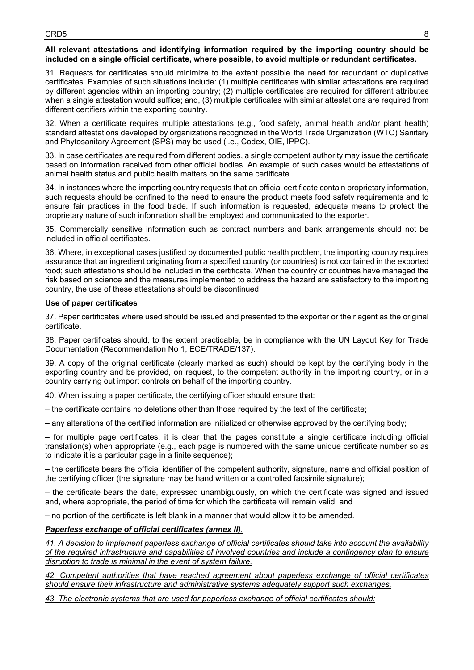### **All relevant attestations and identifying information required by the importing country should be included on a single official certificate, where possible, to avoid multiple or redundant certificates.**

31. Requests for certificates should minimize to the extent possible the need for redundant or duplicative certificates. Examples of such situations include: (1) multiple certificates with similar attestations are required by different agencies within an importing country; (2) multiple certificates are required for different attributes when a single attestation would suffice; and, (3) multiple certificates with similar attestations are required from different certifiers within the exporting country.

32. When a certificate requires multiple attestations (e.g., food safety, animal health and/or plant health) standard attestations developed by organizations recognized in the World Trade Organization (WTO) Sanitary and Phytosanitary Agreement (SPS) may be used (i.e., Codex, OIE, IPPC).

33. In case certificates are required from different bodies, a single competent authority may issue the certificate based on information received from other official bodies. An example of such cases would be attestations of animal health status and public health matters on the same certificate.

34. In instances where the importing country requests that an official certificate contain proprietary information, such requests should be confined to the need to ensure the product meets food safety requirements and to ensure fair practices in the food trade. If such information is requested, adequate means to protect the proprietary nature of such information shall be employed and communicated to the exporter.

35. Commercially sensitive information such as contract numbers and bank arrangements should not be included in official certificates.

36. Where, in exceptional cases justified by documented public health problem, the importing country requires assurance that an ingredient originating from a specified country (or countries) is not contained in the exported food; such attestations should be included in the certificate. When the country or countries have managed the risk based on science and the measures implemented to address the hazard are satisfactory to the importing country, the use of these attestations should be discontinued.

### **Use of paper certificates**

37. Paper certificates where used should be issued and presented to the exporter or their agent as the original certificate.

38. Paper certificates should, to the extent practicable, be in compliance with the UN Layout Key for Trade Documentation (Recommendation No 1, ECE/TRADE/137).

39. A copy of the original certificate (clearly marked as such) should be kept by the certifying body in the exporting country and be provided, on request, to the competent authority in the importing country, or in a country carrying out import controls on behalf of the importing country.

40. When issuing a paper certificate, the certifying officer should ensure that:

– the certificate contains no deletions other than those required by the text of the certificate;

– any alterations of the certified information are initialized or otherwise approved by the certifying body;

– for multiple page certificates, it is clear that the pages constitute a single certificate including official translation(s) when appropriate (e.g., each page is numbered with the same unique certificate number so as to indicate it is a particular page in a finite sequence);

– the certificate bears the official identifier of the competent authority, signature, name and official position of the certifying officer (the signature may be hand written or a controlled facsimile signature);

– the certificate bears the date, expressed unambiguously, on which the certificate was signed and issued and, where appropriate, the period of time for which the certificate will remain valid; and

– no portion of the certificate is left blank in a manner that would allow it to be amended.

### *Paperless exchange of official certificates (annex II).*

*41. A decision to implement paperless exchange of official certificates should take into account the availability of the required infrastructure and capabilities of involved countries and include a contingency plan to ensure disruption to trade is minimal in the event of system failure.*

*42. Competent authorities that have reached agreement about paperless exchange of official certificates should ensure their infrastructure and administrative systems adequately support such exchanges.*

*43. The electronic systems that are used for paperless exchange of official certificates should:*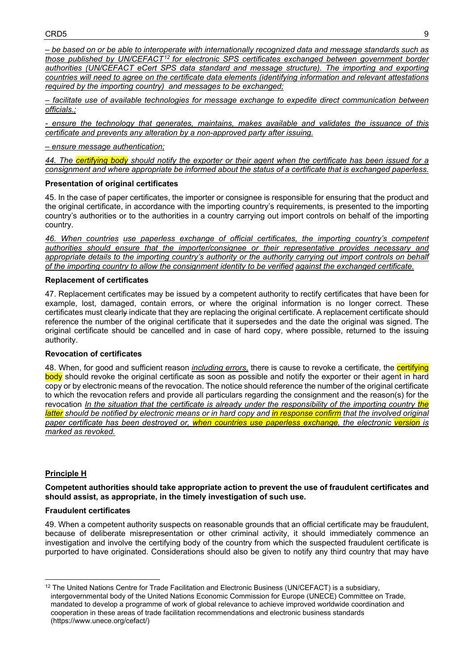*– be based on or be able to interoperate with internationally recognized data and message standards such as those published by UN/CEFACT[12](#page-8-0) for electronic SPS certificates exchanged between government border*  authorities (UN/CEFACT eCert SPS data standard and message structure). The importing and exporting *countries will need to agree on the certificate data elements (identifying information and relevant attestations required by the importing country) and messages to be exchanged;*

*– facilitate use of available technologies for message exchange to expedite direct communication between officials.;* 

*- ensure the technology that generates, maintains, makes available and validates the issuance of this certificate and prevents any alteration by a non-approved party after issuing.*

#### *– ensure message authentication;*

*44. The certifying body should notify the exporter or their agent when the certificate has been issued for a consignment and where appropriate be informed about the status of a certificate that is exchanged paperles*.

### **Presentation of original certificates**

45. In the case of paper certificates, the importer or consignee is responsible for ensuring that the product and the original certificate, in accordance with the importing country's requirements, is presented to the importing country's authorities or to the authorities in a country carrying out import controls on behalf of the importing country.

*46. When countries use paperless exchange of official certificates, the importing country's competent authorities should ensure that the importer/consignee or their representative provides necessary and appropriate details to the importing country's authority or the authority carrying out import controls on behalf of the importing country to allow the consignment identity to be verified against the exchanged certificate.*

### **Replacement of certificates**

47. Replacement certificates may be issued by a competent authority to rectify certificates that have been for example, lost, damaged, contain errors, or where the original information is no longer correct. These certificates must clearly indicate that they are replacing the original certificate. A replacement certificate should reference the number of the original certificate that it supersedes and the date the original was signed. The original certificate should be cancelled and in case of hard copy, where possible, returned to the issuing authority.

# **Revocation of certificates**

48. When, for good and sufficient reason *including errors,* there is cause to revoke a certificate, the certifying body should revoke the original certificate as soon as possible and notify the exporter or their agent in hard copy or by electronic means of the revocation. The notice should reference the number of the original certificate to which the revocation refers and provide all particulars regarding the consignment and the reason(s) for the revocation *In the situation that the certificate is already under the responsibility of the importing country the latter should be notified by electronic means or in hard copy and in response confirm that the involved original paper certificate has been destroyed or, when countries use paperless exchange, the electronic version is marked as revoked.*

### **Principle H**

**Competent authorities should take appropriate action to prevent the use of fraudulent certificates and should assist, as appropriate, in the timely investigation of such use.**

#### **Fraudulent certificates**

49. When a competent authority suspects on reasonable grounds that an official certificate may be fraudulent, because of deliberate misrepresentation or other criminal activity, it should immediately commence an investigation and involve the certifying body of the country from which the suspected fraudulent certificate is purported to have originated. Considerations should also be given to notify any third country that may have

<span id="page-8-0"></span> $12$  The United Nations Centre for Trade Facilitation and Electronic Business (UN/CEFACT) is a subsidiary, intergovernmental body of the United Nations Economic Commission for Europe (UNECE) Committee on Trade, mandated to develop a programme of work of global relevance to achieve improved worldwide coordination and cooperation in these areas of trade facilitation recommendations and electronic business standards (https://www.unece.org/cefact/)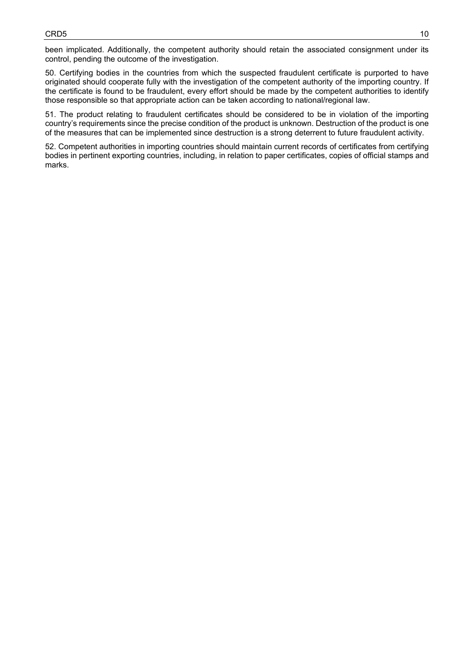been implicated. Additionally, the competent authority should retain the associated consignment under its control, pending the outcome of the investigation.

50. Certifying bodies in the countries from which the suspected fraudulent certificate is purported to have originated should cooperate fully with the investigation of the competent authority of the importing country. If the certificate is found to be fraudulent, every effort should be made by the competent authorities to identify those responsible so that appropriate action can be taken according to national/regional law.

51. The product relating to fraudulent certificates should be considered to be in violation of the importing country's requirements since the precise condition of the product is unknown. Destruction of the product is one of the measures that can be implemented since destruction is a strong deterrent to future fraudulent activity.

52. Competent authorities in importing countries should maintain current records of certificates from certifying bodies in pertinent exporting countries, including, in relation to paper certificates, copies of official stamps and marks.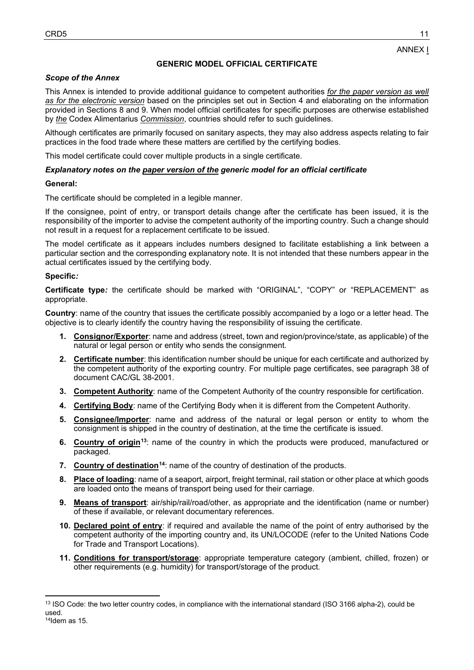ANNEX I

### **GENERIC MODEL OFFICIAL CERTIFICATE**

#### *Scope of the Annex*

This Annex is intended to provide additional guidance to competent authorities *for the paper version as well as for the electronic version* based on the principles set out in Section 4 and elaborating on the information provided in Sections 8 and 9. When model official certificates for specific purposes are otherwise established by *the* Codex Alimentarius *Commission*, countries should refer to such guidelines.

Although certificates are primarily focused on sanitary aspects, they may also address aspects relating to fair practices in the food trade where these matters are certified by the certifying bodies.

This model certificate could cover multiple products in a single certificate.

#### *Explanatory notes on the paper version of the generic model for an official certificate*

#### **General:**

The certificate should be completed in a legible manner.

If the consignee, point of entry, or transport details change after the certificate has been issued, it is the responsibility of the importer to advise the competent authority of the importing country. Such a change should not result in a request for a replacement certificate to be issued.

The model certificate as it appears includes numbers designed to facilitate establishing a link between a particular section and the corresponding explanatory note. It is not intended that these numbers appear in the actual certificates issued by the certifying body.

#### **Specific***:*

**Certificate type***:* the certificate should be marked with "ORIGINAL", "COPY" or "REPLACEMENT" as appropriate.

**Country**: name of the country that issues the certificate possibly accompanied by a logo or a letter head. The objective is to clearly identify the country having the responsibility of issuing the certificate.

- **1. Consignor/Exporter**: name and address (street, town and region/province/state, as applicable) of the natural or legal person or entity who sends the consignment.
- **2. Certificate number**: this identification number should be unique for each certificate and authorized by the competent authority of the exporting country. For multiple page certificates, see paragraph 38 of document CAC/GL 38-2001.
- **3. Competent Authority**: name of the Competent Authority of the country responsible for certification.
- **4. Certifying Body**: name of the Certifying Body when it is different from the Competent Authority.
- **5. Consignee/Importer**: name and address of the natural or legal person or entity to whom the consignment is shipped in the country of destination, at the time the certificate is issued.
- **6. Country of origin[13](#page-10-0)**: name of the country in which the products were produced, manufactured or packaged.
- **7. Country of destination[14](#page-10-1)**: name of the country of destination of the products.
- **8. Place of loading**: name of a seaport, airport, freight terminal, rail station or other place at which goods are loaded onto the means of transport being used for their carriage.
- **9. Means of transport**: air/ship/rail/road/other, as appropriate and the identification (name or number) of these if available, or relevant documentary references.
- **10. Declared point of entry**: if required and available the name of the point of entry authorised by the competent authority of the importing country and, its UN/LOCODE (refer to the United Nations Code for Trade and Transport Locations).
- **11. Conditions for transport/storage**: appropriate temperature category (ambient, chilled, frozen) or other requirements (e.g. humidity) for transport/storage of the product.

<span id="page-10-1"></span><span id="page-10-0"></span><sup>&</sup>lt;sup>13</sup> ISO Code: the two letter country codes, in compliance with the international standard (ISO 3166 alpha-2), could be used.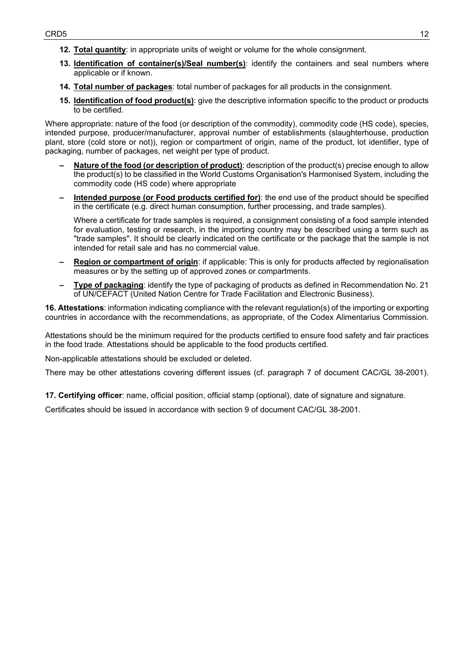- **12. Total quantity**: in appropriate units of weight or volume for the whole consignment.
- **13. Identification of container(s)/Seal number(s)**: identify the containers and seal numbers where applicable or if known.
- **14. Total number of packages**: total number of packages for all products in the consignment.
- **15. Identification of food product(s)**: give the descriptive information specific to the product or products to be certified.

Where appropriate: nature of the food (or description of the commodity), commodity code (HS code), species, intended purpose, producer/manufacturer, approval number of establishments (slaughterhouse, production plant, store (cold store or not)), region or compartment of origin, name of the product, lot identifier, type of packaging, number of packages, net weight per type of product.

- **– Nature of the food (or description of product)**: description of the product(s) precise enough to allow the product(s) to be classified in the World Customs Organisation's Harmonised System, including the commodity code (HS code) where appropriate
- **– Intended purpose (or Food products certified for)**: the end use of the product should be specified in the certificate (e.g. direct human consumption, further processing, and trade samples).

Where a certificate for trade samples is required, a consignment consisting of a food sample intended for evaluation, testing or research, in the importing country may be described using a term such as "trade samples". It should be clearly indicated on the certificate or the package that the sample is not intended for retail sale and has no commercial value.

- **– Region or compartment of origin**: if applicable: This is only for products affected by regionalisation measures or by the setting up of approved zones or compartments.
- **– Type of packaging**: identify the type of packaging of products as defined in Recommendation No. 21 of UN/CEFACT (United Nation Centre for Trade Facilitation and Electronic Business).

**16. Attestations**: information indicating compliance with the relevant regulation(s) of the importing or exporting countries in accordance with the recommendations, as appropriate, of the Codex Alimentarius Commission.

Attestations should be the minimum required for the products certified to ensure food safety and fair practices in the food trade. Attestations should be applicable to the food products certified.

Non-applicable attestations should be excluded or deleted.

There may be other attestations covering different issues (cf. paragraph 7 of document CAC/GL 38-2001).

**17. Certifying officer**: name, official position, official stamp (optional), date of signature and signature.

Certificates should be issued in accordance with section 9 of document CAC/GL 38-2001.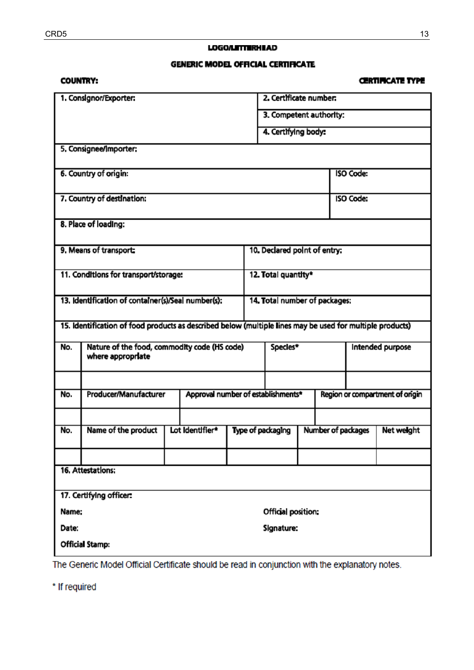### **LOGO/LETTERHEAD**

### **GENERIC MODEL OFFICIAL CERTIFICATE**

# **COUNTRY:**

# **CERTIFICATE TYPE**

| 1. Consignor/Exporter:                                                                                    |                                                                   |  |                    |                         |                                    | 2. Certificate number.        |                    |                                |                  |  |  |
|-----------------------------------------------------------------------------------------------------------|-------------------------------------------------------------------|--|--------------------|-------------------------|------------------------------------|-------------------------------|--------------------|--------------------------------|------------------|--|--|
|                                                                                                           |                                                                   |  |                    | 3. Competent authority: |                                    |                               |                    |                                |                  |  |  |
|                                                                                                           |                                                                   |  |                    |                         |                                    | 4. Certifying body:           |                    |                                |                  |  |  |
| 5. Consignee/Importer:                                                                                    |                                                                   |  |                    |                         |                                    |                               |                    |                                |                  |  |  |
| 6. Country of origin:                                                                                     |                                                                   |  |                    |                         |                                    |                               |                    |                                | <b>ISO Code:</b> |  |  |
| 7. Country of destination:                                                                                |                                                                   |  |                    |                         |                                    | <b>ISO Code:</b>              |                    |                                |                  |  |  |
| 8. Place of loading:                                                                                      |                                                                   |  |                    |                         |                                    |                               |                    |                                |                  |  |  |
| 9. Means of transport:                                                                                    |                                                                   |  |                    |                         |                                    | 10. Declared point of entry:  |                    |                                |                  |  |  |
| 11. Conditions for transport/storage:                                                                     |                                                                   |  |                    |                         |                                    | 12. Total quantity*           |                    |                                |                  |  |  |
| 13. Identification of container(s)/Seal number(s):                                                        |                                                                   |  |                    |                         |                                    | 14. Total number of packages: |                    |                                |                  |  |  |
| 15. Identification of food products as described below (multiple lines may be used for multiple products) |                                                                   |  |                    |                         |                                    |                               |                    |                                |                  |  |  |
| No.                                                                                                       | Nature of the food, commodity code (HS code)<br>where appropriate |  |                    |                         |                                    | Species*                      |                    |                                | Intended purpose |  |  |
|                                                                                                           |                                                                   |  |                    |                         |                                    |                               |                    |                                |                  |  |  |
| No.                                                                                                       | Producer/Manufacturer                                             |  |                    |                         | Approval number of establishments* |                               |                    | Region or compartment of ongin |                  |  |  |
|                                                                                                           |                                                                   |  |                    |                         |                                    |                               |                    |                                |                  |  |  |
| No.                                                                                                       | Name of the product                                               |  | Lot Identifier*    |                         | Type of packaging                  |                               | Number of packages |                                | Net weight       |  |  |
|                                                                                                           |                                                                   |  |                    |                         |                                    |                               |                    |                                |                  |  |  |
| 16. Attestations:                                                                                         |                                                                   |  |                    |                         |                                    |                               |                    |                                |                  |  |  |
| 17. Certifying officer:                                                                                   |                                                                   |  |                    |                         |                                    |                               |                    |                                |                  |  |  |
| Name:                                                                                                     |                                                                   |  | Official position: |                         |                                    |                               |                    |                                |                  |  |  |
| Date:                                                                                                     |                                                                   |  | Signature:         |                         |                                    |                               |                    |                                |                  |  |  |
| <b>Official Stamp:</b>                                                                                    |                                                                   |  |                    |                         |                                    |                               |                    |                                |                  |  |  |

The Generic Model Official Certificate should be read in conjunction with the explanatory notes.

\* If required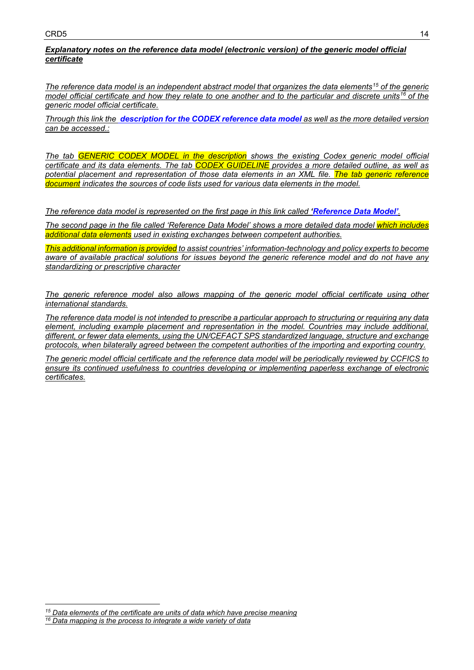# *Explanatory notes on the reference data model (electronic version) of the generic model official certificate*

*The reference data model is an independent abstract model that organizes the data elements[15](#page-13-0) of the generic model official certificate and how they relate to one another and to the particular and discrete units[16](#page-13-1) of the generic model official certificate.* 

*Through this link the [description for the CODEX reference data model](http://www.fao.org/fileadmin/user_upload/codexalimentarius/doc/Paperless_cert_Description_for_the_generic_model_draft.xlsx) as well as the more detailed version can be accessed.:*

*The tab GENERIC CODEX MODEL in the description shows the existing Codex generic model official certificate and its data elements. The tab CODEX GUIDELINE provides a more detailed outline, as well as potential placement and representation of those data elements in an XML file. The tab generic reference document indicates the sources of code lists used for various data elements in the model.* 

*The reference data model is represented on the first page in this link called ['Reference Data Model'](http://www.fao.org/fao-who-codexalimentarius/sh-proxy/en/?lnk=1&url=https%253A%252F%252Fworkspace.fao.org%252Fsites%252Fcodex%252FMeetings%252FCX-733-25%252FWorking%2BDocuments%202020%252FPaperless_cert_Generic_Reference_Model.pdf).*

*The second page in the file called 'Reference Data Model' shows a more detailed data model which includes additional data elements used in existing exchanges between competent authorities.* 

*This additional information is provided to assist countries' information-technology and policy experts to become aware of available practical solutions for issues beyond the generic reference model and do not have any standardizing or prescriptive character*

*The generic reference model also allows mapping of the generic model official certificate using other international standards.*

*The reference data model is not intended to prescribe a particular approach to structuring or requiring any data element, including example placement and representation in the model. Countries may include additional, different, or fewer data elements, using the UN/CEFACT SPS standardized language, structure and exchange protocols, when bilaterally agreed between the competent authorities of the importing and exporting country.* 

*The generic model official certificate and the reference data model will be periodically reviewed by CCFICS to ensure its continued usefulness to countries developing or implementing paperless exchange of electronic certificates.* 

<span id="page-13-1"></span><span id="page-13-0"></span>*<sup>15</sup> Data elements of the certificate are units of data which have precise meaning <sup>16</sup> Data mapping is the process to integrate a wide variety of data*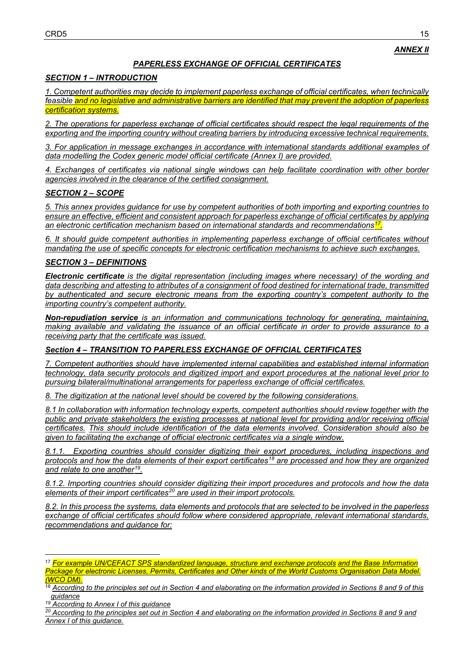# *PAPERLESS EXCHANGE OF OFFICIAL CERTIFICATES*

# *SECTION 1 – INTRODUCTION*

*1. Competent authorities may decide to implement paperless exchange of official certificates, when technically feasible and no legislative and administrative barriers are identified that may prevent the adoption of paperless certification systems.*

*2. The operations for paperless exchange of official certificates should respect the legal requirements of the exporting and the importing country without creating barriers by introducing excessive technical requirements.*

*3. For application in message exchanges in accordance with international standards additional examples of data modelling the Codex generic model official certificate (Annex I) are provided.*

*4. Exchanges of certificates via national single windows can help facilitate coordination with other border agencies involved in the clearance of the certified consignment.* 

# *SECTION 2 – SCOPE*

*5. This annex provides guidance for use by competent authorities of both importing and exporting countries to ensure an effective, efficient and consistent approach for paperless exchange of official certificates by applying an electronic certification mechanism based on international standards and recommendations[17.](#page-14-0)*

*6. It should guide competent authorities in implementing paperless exchange of official certificates without mandating the use of specific concepts for electronic certification mechanisms to achieve such exchanges.* 

### *SECTION 3 – DEFINITIONS*

*Electronic certificate is the digital representation (including images where necessary) of the wording and data describing and attesting to attributes of a consignment of food destined for international trade, transmitted by authenticated and secure electronic means from the exporting country's competent authority to the importing country's competent authority.*

*Non-repudiation service is an information and communications technology for generating, maintaining, making available and validating the issuance of an official certificate in order to provide assurance to a receiving party that the certificate was issued.*

### *Section 4 – TRANSITION TO PAPERLESS EXCHANGE OF OFFICIAL CERTIFICATES*

*7. Competent authorities should have implemented internal capabilities and established internal information technology, data security protocols and digitized import and export procedures at the national level prior to pursuing bilateral/multinational arrangements for paperless exchange of official certificates.*

*8. The digitization at the national level should be covered by the following considerations.*

*8.1 In collaboration with information technology experts, competent authorities should review together with the public and private stakeholders the existing processes at national level for providing and/or receiving official certificates. This should include identification of the data elements involved. Consideration should also be given to facilitating the exchange of official electronic certificates via a single window.*

*8.1.1. Exporting countries should consider digitizing their export procedures, including inspections and protocols and how the data elements of their export certificates[18](#page-14-1) are processed and how they are organized and relate to one another[19](#page-14-2).*

*8.1.2. Importing countries should consider digitizing their import procedures and protocols and how the data elements of their import certificates[20](#page-14-3) are used in their import protocols.*

*8.2. In this process the systems, data elements and protocols that are selected to be involved in the paperless exchange of official certificates should follow where considered appropriate, relevant international standards, recommendations and guidance for:*

<span id="page-14-0"></span><sup>17</sup> *For example UN/CEFACT SPS standardized language, structure and exchange protocols and the Base Information Package for electronic Licenses, Permits, Certificates and Other kinds of the World Customs Organisation Data Model. (WCO DM).*

<span id="page-14-1"></span><sup>18</sup> *According to the principles set out in Section 4 and elaborating on the information provided in Sections 8 and 9 of this guidance*

<span id="page-14-2"></span>*<sup>19</sup> According to Annex I of this guidance*

<span id="page-14-3"></span>*<sup>20</sup> According to the principles set out in Section 4 and elaborating on the information provided in Sections 8 and 9 and Annex I of this guidance.*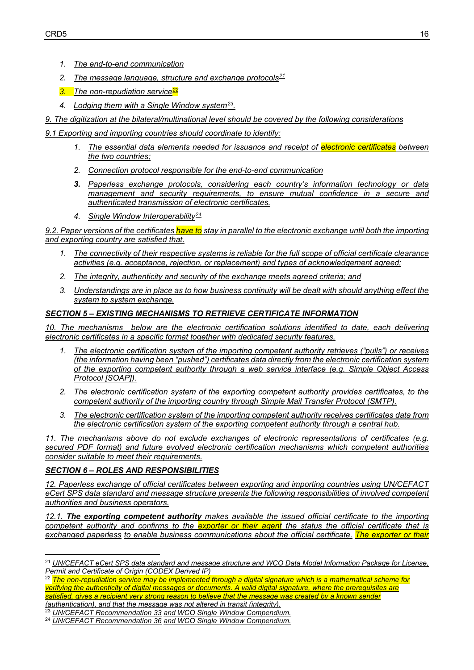- *1. The end-to-end communication*
- *2. The message language, structure and exchange protocols[21](#page-15-0)*
- *3. The non-repudiation service[22](#page-15-1)*
- *4. Lodging them with a Single Window system[23.](#page-15-2)*
- *9. The digitization at the bilateral/multinational level should be covered by the following considerations*

*9.1 Exporting and importing countries should coordinate to identify:*

- *1. The essential data elements needed for issuance and receipt of electronic certificates between the two countries;*
- *2. Connection protocol responsible for the end-to-end communication*
- *3. Paperless exchange protocols, considering each country's information technology or data management and security requirements, to ensure mutual confidence in a secure and authenticated transmission of electronic certificates.*
- *4. Single Window Interoperability[24](#page-15-3)*

*9.2. Paper versions of the certificates have to stay in parallel to the electronic exchange until both the importing and exporting country are satisfied that.* 

- *1. The connectivity of their respective systems is reliable for the full scope of official certificate clearance activities (e.g. acceptance, rejection, or replacement) and types of acknowledgement agreed;*
- *2. The integrity, authenticity and security of the exchange meets agreed criteria; and*
- *3. Understandings are in place as to how business continuity will be dealt with should anything effect the system to system exchange.*

### *SECTION 5 – EXISTING MECHANISMS TO RETRIEVE CERTIFICATE INFORMATION*

*10. The mechanisms below are the electronic certification solutions identified to date, each delivering electronic certificates in a specific format together with dedicated security features.*

- *1. The electronic certification system of the importing competent authority retrieves ("pulls") or receives (the information having been "pushed") certificates data directly from the electronic certification system of the exporting competent authority through a web service interface (e.g. Simple Object Access Protocol [SOAP]).*
- *2. The electronic certification system of the exporting competent authority provides certificates, to the competent authority of the importing country through Simple Mail Transfer Protocol (SMTP).*
- *3. The electronic certification system of the importing competent authority receives certificates data from the electronic certification system of the exporting competent authority through a central hub.*

*11. The mechanisms above do not exclude exchanges of electronic representations of certificates (e.g. secured PDF format) and future evolved electronic certification mechanisms which competent authorities consider suitable to meet their requirements.*

### *SECTION 6 – ROLES AND RESPONSIBILITIES*

*12. Paperless exchange of official certificates between exporting and importing countries using UN/CEFACT eCert SPS data standard and message structure presents the following responsibilities of involved competent authorities and business operators.* 

*12.1. The exporting competent authority makes available the issued official certificate to the importing competent authority and confirms to the exporter or their agent the status the official certificate that is exchanged paperless to enable business communications about the official certificate. The exporter or their*

<span id="page-15-1"></span><sup>22</sup> The non-repudiation service may be implemented through a digital signature which is a mathematical scheme for *verifying the authenticity of digital messages or documents. A valid digital signature, where the prerequisites are satisfied, gives a recipient very strong reason to believe that the message was created by a known sender (authentication), and that the message was not altered in transit (integrity).*

<span id="page-15-0"></span><sup>21</sup> *UN/CEFACT eCert SPS data standard and message structure and WCO Data Model Information Package for License, Permit and Certificate of Origin (CODEX Derived IP)*

<span id="page-15-2"></span><sup>23</sup> *UN/CEFACT Recommendation 33 and WCO Single Window Compendium.*

<span id="page-15-3"></span><sup>24</sup> *UN/CEFACT Recommendation 36 and WCO Single Window Compendium.*